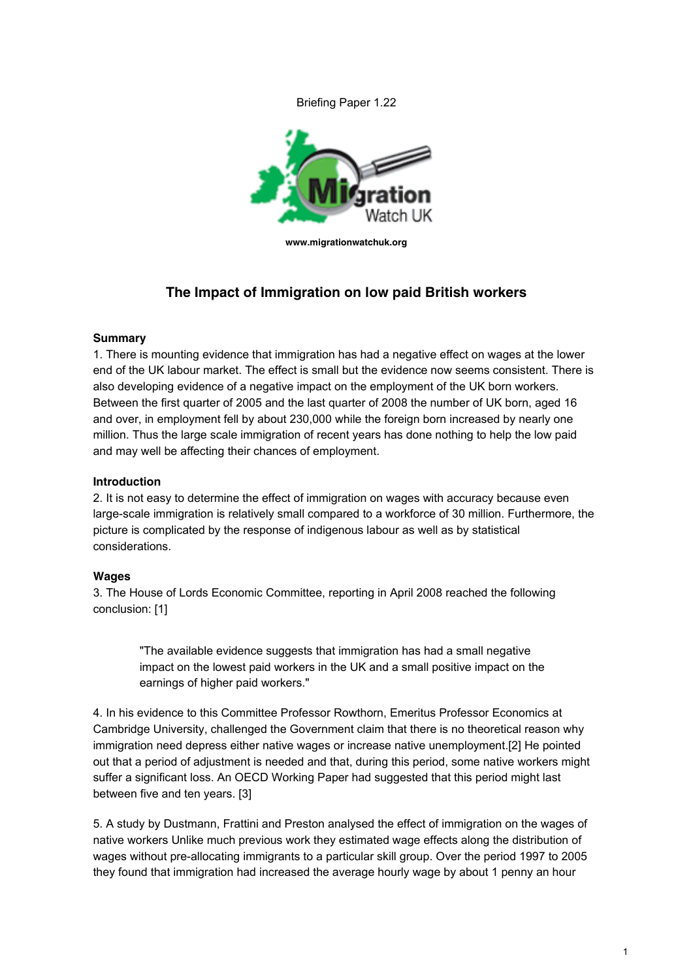Briefing Paper 1.22



**www.migrationwatchuk.org**

# **The Impact of Immigration on low paid British workers**

### **Summary**

1. There is mounting evidence that immigration has had a negative effect on wages at the lower end of the UK labour market. The effect is small but the evidence now seems consistent. There is also developing evidence of a negative impact on the employment of the UK born workers. Between the first quarter of 2005 and the last quarter of 2008 the number of UK born, aged 16 and over, in employment fell by about 230,000 while the foreign born increased by nearly one million. Thus the large scale immigration of recent years has done nothing to help the low paid and may well be affecting their chances of employment.

## **Introduction**

2. It is not easy to determine the effect of immigration on wages with accuracy because even large-scale immigration is relatively small compared to a workforce of 30 million. Furthermore, the picture is complicated by the response of indigenous labour as well as by statistical considerations.

#### **Wages**

3. The House of Lords Economic Committee, reporting in April 2008 reached the following conclusion: [1]

"The available evidence suggests that immigration has had a small negative impact on the lowest paid workers in the UK and a small positive impact on the earnings of higher paid workers."

4. In his evidence to this Committee Professor Rowthorn, Emeritus Professor Economics at Cambridge University, challenged the Government claim that there is no theoretical reason why immigration need depress either native wages or increase native unemployment.[2] He pointed out that a period of adjustment is needed and that, during this period, some native workers might suffer a significant loss. An OECD Working Paper had suggested that this period might last between five and ten years. [3]

5. A study by Dustmann, Frattini and Preston analysed the effect of immigration on the wages of native workers Unlike much previous work they estimated wage effects along the distribution of wages without pre-allocating immigrants to a particular skill group. Over the period 1997 to 2005 they found that immigration had increased the average hourly wage by about 1 penny an hour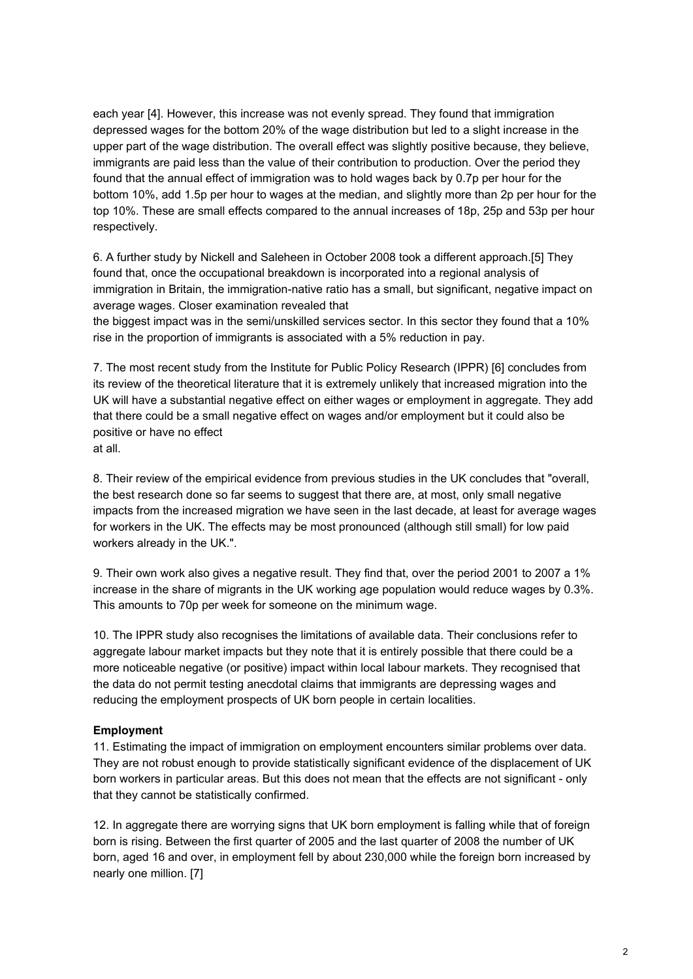each year [4]. However, this increase was not evenly spread. They found that immigration depressed wages for the bottom 20% of the wage distribution but led to a slight increase in the upper part of the wage distribution. The overall effect was slightly positive because, they believe, immigrants are paid less than the value of their contribution to production. Over the period they found that the annual effect of immigration was to hold wages back by 0.7p per hour for the bottom 10%, add 1.5p per hour to wages at the median, and slightly more than 2p per hour for the top 10%. These are small effects compared to the annual increases of 18p, 25p and 53p per hour respectively.

6. A further study by Nickell and Saleheen in October 2008 took a different approach.[5] They found that, once the occupational breakdown is incorporated into a regional analysis of immigration in Britain, the immigration-native ratio has a small, but significant, negative impact on average wages. Closer examination revealed that

the biggest impact was in the semi/unskilled services sector. In this sector they found that a 10% rise in the proportion of immigrants is associated with a 5% reduction in pay.

7. The most recent study from the Institute for Public Policy Research (IPPR) [6] concludes from its review of the theoretical literature that it is extremely unlikely that increased migration into the UK will have a substantial negative effect on either wages or employment in aggregate. They add that there could be a small negative effect on wages and/or employment but it could also be positive or have no effect at all.

8. Their review of the empirical evidence from previous studies in the UK concludes that "overall, the best research done so far seems to suggest that there are, at most, only small negative impacts from the increased migration we have seen in the last decade, at least for average wages for workers in the UK. The effects may be most pronounced (although still small) for low paid workers already in the UK.".

9. Their own work also gives a negative result. They find that, over the period 2001 to 2007 a 1% increase in the share of migrants in the UK working age population would reduce wages by 0.3%. This amounts to 70p per week for someone on the minimum wage.

10. The IPPR study also recognises the limitations of available data. Their conclusions refer to aggregate labour market impacts but they note that it is entirely possible that there could be a more noticeable negative (or positive) impact within local labour markets. They recognised that the data do not permit testing anecdotal claims that immigrants are depressing wages and reducing the employment prospects of UK born people in certain localities.

## **Employment**

11. Estimating the impact of immigration on employment encounters similar problems over data. They are not robust enough to provide statistically significant evidence of the displacement of UK born workers in particular areas. But this does not mean that the effects are not significant - only that they cannot be statistically confirmed.

12. In aggregate there are worrying signs that UK born employment is falling while that of foreign born is rising. Between the first quarter of 2005 and the last quarter of 2008 the number of UK born, aged 16 and over, in employment fell by about 230,000 while the foreign born increased by nearly one million. [7]